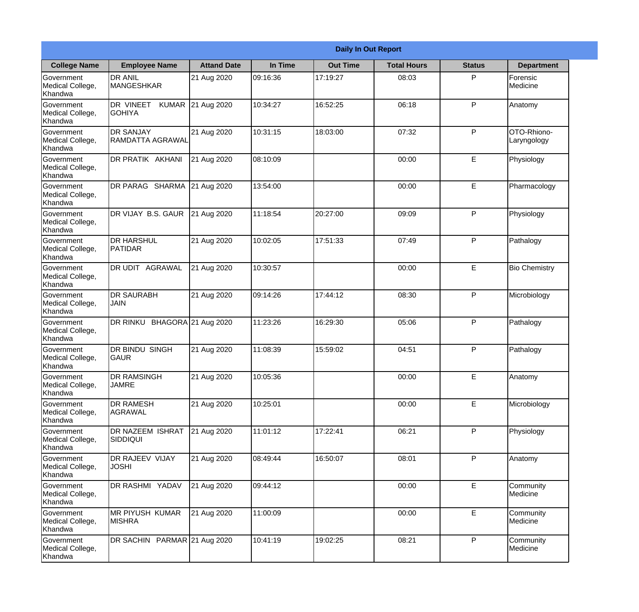|                                                  |                                            |                     |          | <b>Daily In Out Report</b> |                    |               |                            |
|--------------------------------------------------|--------------------------------------------|---------------------|----------|----------------------------|--------------------|---------------|----------------------------|
| <b>College Name</b>                              | <b>Employee Name</b>                       | <b>Attand Date</b>  | In Time  | <b>Out Time</b>            | <b>Total Hours</b> | <b>Status</b> | <b>Department</b>          |
| Government<br>Medical College,<br>Khandwa        | <b>DR ANIL</b><br><b>MANGESHKAR</b>        | 21 Aug 2020         | 09:16:36 | 17:19:27                   | 08:03              | P             | Forensic<br>Medicine       |
| Government<br>Medical College,<br>Khandwa        | DR VINEET<br><b>KUMAR</b><br><b>GOHIYA</b> | 21 Aug 2020         | 10:34:27 | 16:52:25                   | 06:18              | P             | Anatomy                    |
| Government<br>Medical College,<br>Khandwa        | <b>IDR SANJAY</b><br>RAMDATTA AGRAWAL      | 21 Aug 2020         | 10:31:15 | 18:03:00                   | 07:32              | P             | OTO-Rhiono-<br>Laryngology |
| Government<br>Medical College,<br>Khandwa        | <b>DR PRATIK AKHANI</b>                    | 21 Aug 2020         | 08:10:09 |                            | 00:00              | E             | Physiology                 |
| Government<br>Medical College,<br>Khandwa        | DR PARAG SHARMA                            | 21 Aug 2020         | 13:54:00 |                            | 00:00              | E             | Pharmacology               |
| Government<br>Medical College,<br>Khandwa        | DR VIJAY B.S. GAUR                         | 21 Aug 2020         | 11:18:54 | 20:27:00                   | 09:09              | P             | Physiology                 |
| <b>Government</b><br>Medical College,<br>Khandwa | IDR HARSHUL<br><b>PATIDAR</b>              | 21 Aug 2020         | 10:02:05 | 17:51:33                   | 07:49              | P             | Pathalogy                  |
| Government<br>Medical College,<br>Khandwa        | <b>DR UDIT AGRAWAL</b>                     | 21 Aug 2020         | 10:30:57 |                            | 00:00              | E             | <b>Bio Chemistry</b>       |
| <b>Government</b><br>Medical College,<br>Khandwa | <b>DR SAURABH</b><br><b>JAIN</b>           | 21 Aug 2020         | 09:14:26 | 17:44:12                   | 08:30              | P             | Microbiology               |
| Government<br>Medical College,<br>Khandwa        | DR RINKU                                   | BHAGORA 21 Aug 2020 | 11:23:26 | 16:29:30                   | 05:06              | P             | Pathalogy                  |
| Government<br>Medical College,<br>Khandwa        | <b>IDR BINDU SINGH</b><br> GAUR            | 21 Aug 2020         | 11:08:39 | 15:59:02                   | 04:51              | $\mathsf{P}$  | Pathalogy                  |
| Government<br>Medical College,<br>Khandwa        | <b>DR RAMSINGH</b><br><b>JAMRE</b>         | 21 Aug 2020         | 10:05:36 |                            | 00:00              | E             | Anatomy                    |
| Government<br>Medical College,<br>Khandwa        | <b>DR RAMESH</b><br>AGRAWAL                | 21 Aug 2020         | 10:25:01 |                            | 00:00              | E             | Microbiology               |
| Government<br>Medical College,<br>Khandwa        | <b>DR NAZEEM ISHRAT</b><br>SIDDIQUI        | 21 Aug 2020         | 11:01:12 | 17:22:41                   | 06:21              | P             | Physiology                 |
| Government<br>Medical College,<br>Khandwa        | <b>DR RAJEEV VIJAY</b><br><b>JOSHI</b>     | 21 Aug 2020         | 08:49:44 | 16:50:07                   | 08:01              | $\mathsf{P}$  | Anatomy                    |
| Government<br>Medical College,<br>Khandwa        | DR RASHMI YADAV                            | 21 Aug 2020         | 09:44:12 |                            | 00:00              | E             | Community<br>Medicine      |
| Government<br>Medical College,<br>Khandwa        | <b>MR PIYUSH KUMAR</b><br><b>MISHRA</b>    | 21 Aug 2020         | 11:00:09 |                            | 00:00              | E             | Community<br>Medicine      |
| Government<br>Medical College,<br>Khandwa        | DR SACHIN PARMAR 21 Aug 2020               |                     | 10:41:19 | 19:02:25                   | 08:21              | P             | Community<br>Medicine      |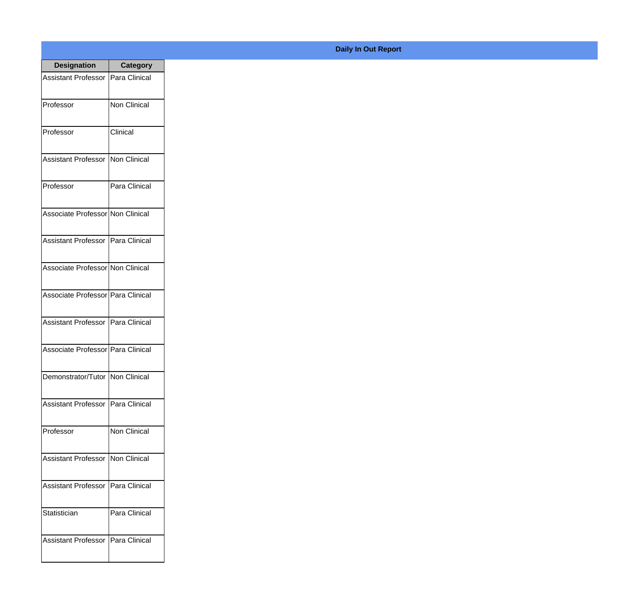| <b>Designation</b>                  | <b>Category</b>     |
|-------------------------------------|---------------------|
| Assistant Professor                 | Para Clinical       |
| Professor                           | <b>Non Clinical</b> |
| Professor                           | Clinical            |
| Assistant Professor   Non Clinical  |                     |
| Professor                           | Para Clinical       |
| Associate Professor Non Clinical    |                     |
| Assistant Professor   Para Clinical |                     |
| Associate Professor Non Clinical    |                     |
| Associate Professor Para Clinical   |                     |
| Assistant Professor   Para Clinical |                     |
| Associate Professor Para Clinical   |                     |
| Demonstrator/Tutor   Non Clinical   |                     |
| <b>Assistant Professor</b>          | Para Clinical       |
| Professor                           | Non Clinical        |
| <b>Assistant Professor</b>          | Non Clinical        |
| <b>Assistant Professor</b>          | Para Clinical       |
| Statistician                        | Para Clinical       |
| <b>Assistant Professor</b>          | Para Clinical       |

## **Daily In Out Report**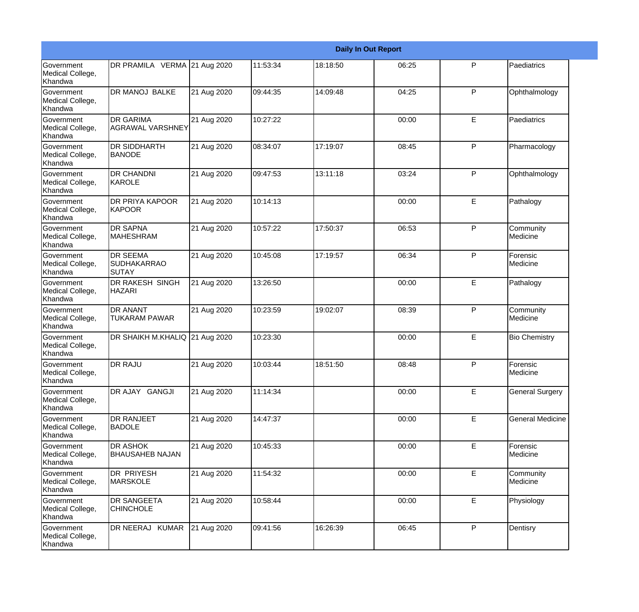|                                                  |                                                |             |          |          | <b>Daily In Out Report</b> |              |                         |
|--------------------------------------------------|------------------------------------------------|-------------|----------|----------|----------------------------|--------------|-------------------------|
| <b>Government</b><br>Medical College,<br>Khandwa | DR PRAMILA VERMA 21 Aug 2020                   |             | 11:53:34 | 18:18:50 | 06:25                      | P            | Paediatrics             |
| Government<br>Medical College,<br>Khandwa        | <b>DR MANOJ BALKE</b>                          | 21 Aug 2020 | 09:44:35 | 14:09:48 | 04:25                      | $\mathsf{P}$ | Ophthalmology           |
| <b>Government</b><br>Medical College,<br>Khandwa | <b>DR GARIMA</b><br>LAGRAWAL VARSHNEY          | 21 Aug 2020 | 10:27:22 |          | 00:00                      | E            | Paediatrics             |
| <b>Government</b><br>Medical College,<br>Khandwa | <b>DR SIDDHARTH</b><br><b>BANODE</b>           | 21 Aug 2020 | 08:34:07 | 17:19:07 | 08:45                      | $\mathsf{P}$ | Pharmacology            |
| Government<br>Medical College,<br>Khandwa        | <b>DR CHANDNI</b><br>KAROLE                    | 21 Aug 2020 | 09:47:53 | 13:11:18 | 03:24                      | $\mathsf{P}$ | Ophthalmology           |
| Government<br>Medical College,<br><b>Khandwa</b> | <b>DR PRIYA KAPOOR</b><br><b>KAPOOR</b>        | 21 Aug 2020 | 10:14:13 |          | 00:00                      | E            | Pathalogy               |
| <b>Government</b><br>Medical College,<br>Khandwa | <b>DR SAPNA</b><br><b>MAHESHRAM</b>            | 21 Aug 2020 | 10:57:22 | 17:50:37 | 06:53                      | $\mathsf{P}$ | Community<br>Medicine   |
| <b>Government</b><br>Medical College,<br>Khandwa | <b>DR SEEMA</b><br><b>SUDHAKARRAO</b><br>SUTAY | 21 Aug 2020 | 10:45:08 | 17:19:57 | 06:34                      | $\mathsf{P}$ | Forensic<br>Medicine    |
| <b>Government</b><br>Medical College,<br>Khandwa | DR RAKESH SINGH<br><b>HAZARI</b>               | 21 Aug 2020 | 13:26:50 |          | 00:00                      | E            | Pathalogy               |
| Government<br>Medical College,<br>Khandwa        | <b>DR ANANT</b><br><b>TUKARAM PAWAR</b>        | 21 Aug 2020 | 10:23:59 | 19:02:07 | 08:39                      | $\mathsf{P}$ | Community<br>Medicine   |
| <b>Government</b><br>Medical College,<br>Khandwa | DR SHAIKH M.KHALIQ 21 Aug 2020                 |             | 10:23:30 |          | 00:00                      | E            | <b>Bio Chemistry</b>    |
| Government<br>Medical College,<br>Khandwa        | <b>DR RAJU</b>                                 | 21 Aug 2020 | 10:03:44 | 18:51:50 | 08:48                      | P            | Forensic<br>Medicine    |
| Government<br>Medical College,<br>Khandwa        | DR AJAY GANGJI                                 | 21 Aug 2020 | 11:14:34 |          | 00:00                      | E            | <b>General Surgery</b>  |
| <b>Government</b><br>Medical College,<br>Khandwa | DR RANJEET<br><b>BADOLE</b>                    | 21 Aug 2020 | 14:47:37 |          | 00:00                      | E            | <b>General Medicine</b> |
| Government<br>Medical College,<br>Khandwa        | <b>DR ASHOK</b><br><b>BHAUSAHEB NAJAN</b>      | 21 Aug 2020 | 10:45:33 |          | 00:00                      | E            | Forensic<br>Medicine    |
| Government<br>Medical College,<br>Khandwa        | DR PRIYESH<br><b>MARSKOLE</b>                  | 21 Aug 2020 | 11:54:32 |          | 00:00                      | E            | Community<br>Medicine   |
| Government<br>Medical College,<br>Khandwa        | <b>DR SANGEETA</b><br><b>CHINCHOLE</b>         | 21 Aug 2020 | 10:58:44 |          | 00:00                      | E            | Physiology              |
| Government<br>Medical College,<br>Khandwa        | DR NEERAJ KUMAR                                | 21 Aug 2020 | 09:41:56 | 16:26:39 | 06:45                      | P            | Dentisry                |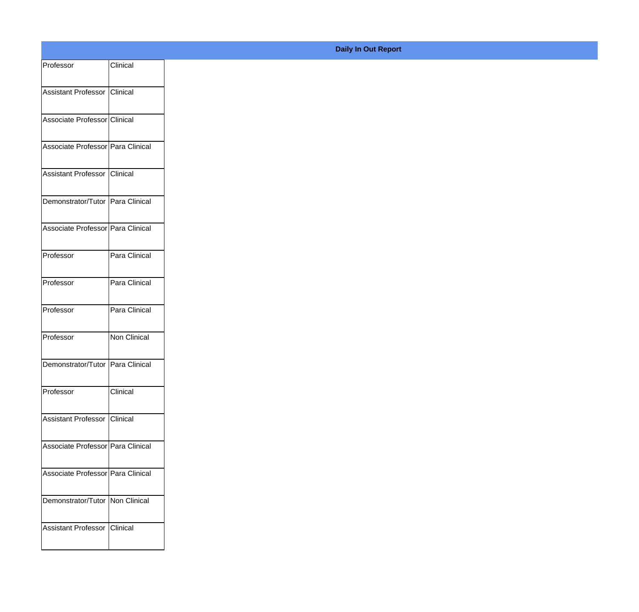| Professor                         | Clinical      |
|-----------------------------------|---------------|
| Assistant Professor Clinical      |               |
|                                   |               |
| Associate Professor Clinical      |               |
| Associate Professor Para Clinical |               |
| Assistant Professor Clinical      |               |
| Demonstrator/Tutor Para Clinical  |               |
| Associate Professor Para Clinical |               |
| Professor                         | Para Clinical |
| Professor                         | Para Clinical |
| Professor                         | Para Clinical |
| Professor                         | Non Clinical  |
| Demonstrator/Tutor Para Clinical  |               |
| Professor                         | Clinical      |
| Assistant Professor Clinical      |               |
| Associate Professor Para Clinical |               |
| Associate Professor Para Clinical |               |
| Demonstrator/Tutor   Non Clinical |               |
| Assistant Professor Clinical      |               |
|                                   |               |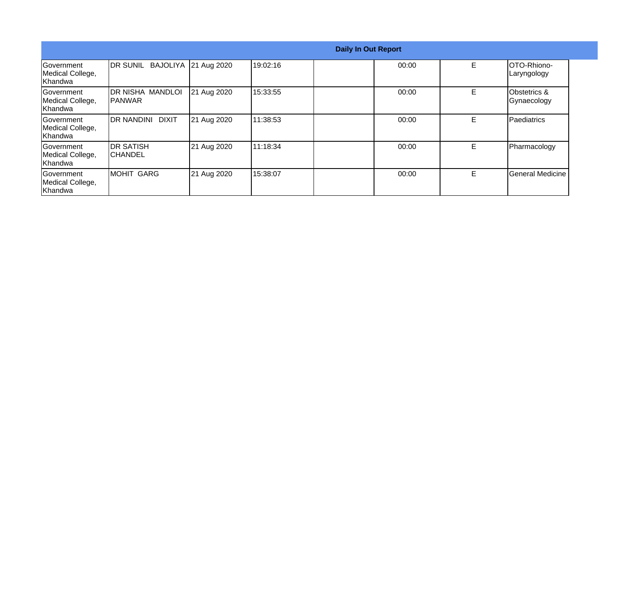|                                                  |                                           |             |          | <b>Daily In Out Report</b> |       |    |                             |
|--------------------------------------------------|-------------------------------------------|-------------|----------|----------------------------|-------|----|-----------------------------|
| <b>Government</b><br>Medical College,<br>Khandwa | DR SUNIL BAJOLIYA                         | 21 Aug 2020 | 19:02:16 |                            | 00:00 | E. | IOTO-Rhiono-<br>Laryngology |
| Government<br>Medical College,<br>Khandwa        | <b>DR NISHA MANDLOI</b><br><b>IPANWAR</b> | 21 Aug 2020 | 15:33:55 |                            | 00:00 | Е  | Obstetrics &<br>Gynaecology |
| lGovernment<br>Medical College,<br>Khandwa       | <b>DIXIT</b><br>IDR NANDINI               | 21 Aug 2020 | 11:38:53 |                            | 00:00 | E. | <b>Paediatrics</b>          |
| Government<br>Medical College,<br>Khandwa        | <b>DR SATISH</b><br><b>ICHANDEL</b>       | 21 Aug 2020 | 11:18:34 |                            | 00:00 | E. | Pharmacology                |
| Government<br>Medical College,<br>Khandwa        | <b>MOHIT GARG</b>                         | 21 Aug 2020 | 15:38:07 |                            | 00:00 | E. | General Medicine            |